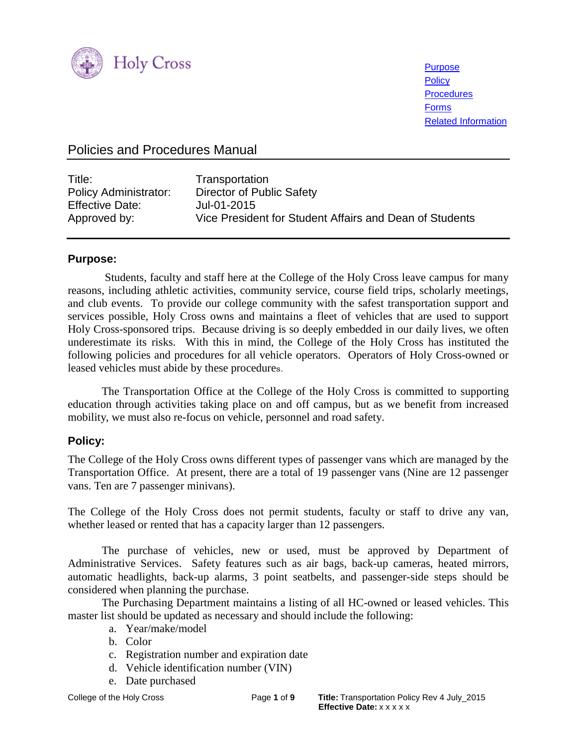

**[Purpose](#page-0-0) [Policy](#page-0-1) [Procedures](#page-1-0) [Forms](#page-8-0)** [Related Information](#page-8-1)

# Policies and Procedures Manual

| Title:<br><b>Policy Administrator:</b><br><b>Effective Date:</b> | Transportation<br>Director of Public Safety<br>Jul-01-2015<br>Vice President for Student Affairs and Dean of Students |
|------------------------------------------------------------------|-----------------------------------------------------------------------------------------------------------------------|
| Approved by:                                                     |                                                                                                                       |

#### <span id="page-0-0"></span>**Purpose:**

Students, faculty and staff here at the College of the Holy Cross leave campus for many reasons, including athletic activities, community service, course field trips, scholarly meetings, and club events. To provide our college community with the safest transportation support and services possible, Holy Cross owns and maintains a fleet of vehicles that are used to support Holy Cross-sponsored trips. Because driving is so deeply embedded in our daily lives, we often underestimate its risks. With this in mind, the College of the Holy Cross has instituted the following policies and procedures for all vehicle operators. Operators of Holy Cross-owned or leased vehicles must abide by these procedures.

The Transportation Office at the College of the Holy Cross is committed to supporting education through activities taking place on and off campus, but as we benefit from increased mobility, we must also re-focus on vehicle, personnel and road safety.

## <span id="page-0-1"></span>**Policy:**

The College of the Holy Cross owns different types of passenger vans which are managed by the Transportation Office. At present, there are a total of 19 passenger vans (Nine are 12 passenger vans. Ten are 7 passenger minivans).

The College of the Holy Cross does not permit students, faculty or staff to drive any van, whether leased or rented that has a capacity larger than 12 passengers.

 The purchase of vehicles, new or used, must be approved by Department of Administrative Services. Safety features such as air bags, back-up cameras, heated mirrors, automatic headlights, back-up alarms, 3 point seatbelts, and passenger-side steps should be considered when planning the purchase.

 The Purchasing Department maintains a listing of all HC-owned or leased vehicles. This master list should be updated as necessary and should include the following:

- a. Year/make/model
- b. Color
- c. Registration number and expiration date
- d. Vehicle identification number (VIN)
- e. Date purchased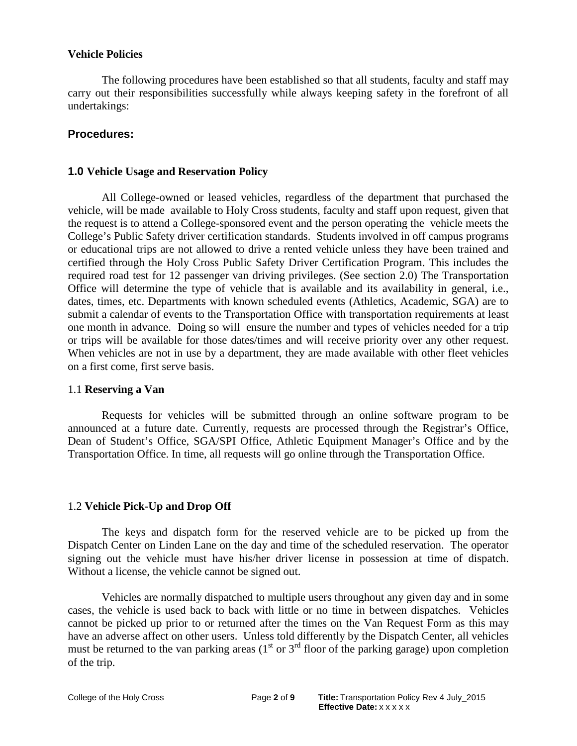#### **Vehicle Policies**

The following procedures have been established so that all students, faculty and staff may carry out their responsibilities successfully while always keeping safety in the forefront of all undertakings:

### <span id="page-1-0"></span>**Procedures:**

#### **1.0 Vehicle Usage and Reservation Policy**

All College-owned or leased vehicles, regardless of the department that purchased the vehicle, will be made available to Holy Cross students, faculty and staff upon request, given that the request is to attend a College-sponsored event and the person operating the vehicle meets the College's Public Safety driver certification standards. Students involved in off campus programs or educational trips are not allowed to drive a rented vehicle unless they have been trained and certified through the Holy Cross Public Safety Driver Certification Program. This includes the required road test for 12 passenger van driving privileges. (See section 2.0) The Transportation Office will determine the type of vehicle that is available and its availability in general, i.e., dates, times, etc. Departments with known scheduled events (Athletics, Academic, SGA) are to submit a calendar of events to the Transportation Office with transportation requirements at least one month in advance. Doing so will ensure the number and types of vehicles needed for a trip or trips will be available for those dates/times and will receive priority over any other request. When vehicles are not in use by a department, they are made available with other fleet vehicles on a first come, first serve basis.

#### 1.1 **Reserving a Van**

Requests for vehicles will be submitted through an online software program to be announced at a future date. Currently, requests are processed through the Registrar's Office, Dean of Student's Office, SGA/SPI Office, Athletic Equipment Manager's Office and by the Transportation Office. In time, all requests will go online through the Transportation Office.

#### 1.2 **Vehicle Pick-Up and Drop Off**

The keys and dispatch form for the reserved vehicle are to be picked up from the Dispatch Center on Linden Lane on the day and time of the scheduled reservation. The operator signing out the vehicle must have his/her driver license in possession at time of dispatch. Without a license, the vehicle cannot be signed out.

Vehicles are normally dispatched to multiple users throughout any given day and in some cases, the vehicle is used back to back with little or no time in between dispatches. Vehicles cannot be picked up prior to or returned after the times on the Van Request Form as this may have an adverse affect on other users. Unless told differently by the Dispatch Center, all vehicles must be returned to the van parking areas  $(1<sup>st</sup>$  or  $3<sup>rd</sup>$  floor of the parking garage) upon completion of the trip.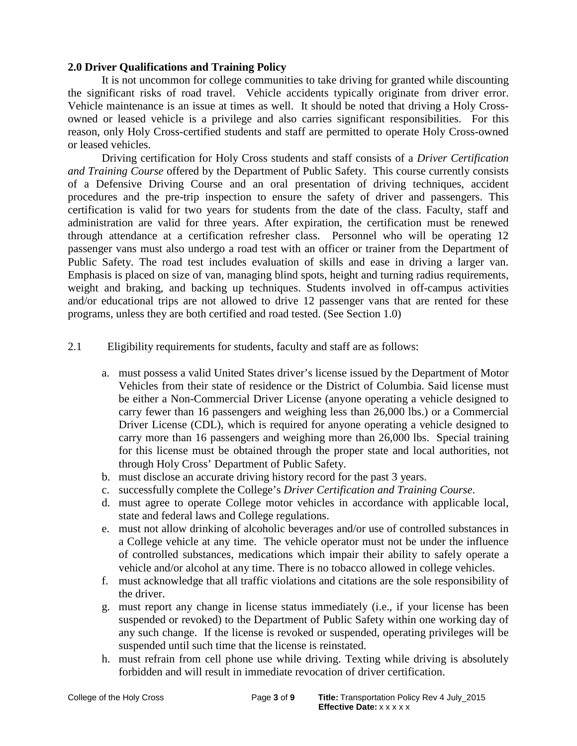### **2.0 Driver Qualifications and Training Policy**

It is not uncommon for college communities to take driving for granted while discounting the significant risks of road travel. Vehicle accidents typically originate from driver error. Vehicle maintenance is an issue at times as well. It should be noted that driving a Holy Crossowned or leased vehicle is a privilege and also carries significant responsibilities. For this reason, only Holy Cross-certified students and staff are permitted to operate Holy Cross-owned or leased vehicles.

Driving certification for Holy Cross students and staff consists of a *Driver Certification and Training Course* offered by the Department of Public Safety. This course currently consists of a Defensive Driving Course and an oral presentation of driving techniques, accident procedures and the pre-trip inspection to ensure the safety of driver and passengers. This certification is valid for two years for students from the date of the class. Faculty, staff and administration are valid for three years. After expiration, the certification must be renewed through attendance at a certification refresher class. Personnel who will be operating 12 passenger vans must also undergo a road test with an officer or trainer from the Department of Public Safety. The road test includes evaluation of skills and ease in driving a larger van. Emphasis is placed on size of van, managing blind spots, height and turning radius requirements, weight and braking, and backing up techniques. Students involved in off-campus activities and/or educational trips are not allowed to drive 12 passenger vans that are rented for these programs, unless they are both certified and road tested. (See Section 1.0)

2.1 Eligibility requirements for students, faculty and staff are as follows:

- a. must possess a valid United States driver's license issued by the Department of Motor Vehicles from their state of residence or the District of Columbia. Said license must be either a Non-Commercial Driver License (anyone operating a vehicle designed to carry fewer than 16 passengers and weighing less than 26,000 lbs.) or a Commercial Driver License (CDL), which is required for anyone operating a vehicle designed to carry more than 16 passengers and weighing more than 26,000 lbs. Special training for this license must be obtained through the proper state and local authorities, not through Holy Cross' Department of Public Safety.
- b. must disclose an accurate driving history record for the past 3 years.
- c. successfully complete the College's *Driver Certification and Training Course*.
- d. must agree to operate College motor vehicles in accordance with applicable local, state and federal laws and College regulations.
- e. must not allow drinking of alcoholic beverages and/or use of controlled substances in a College vehicle at any time. The vehicle operator must not be under the influence of controlled substances, medications which impair their ability to safely operate a vehicle and/or alcohol at any time. There is no tobacco allowed in college vehicles.
- f. must acknowledge that all traffic violations and citations are the sole responsibility of the driver.
- g. must report any change in license status immediately (i.e., if your license has been suspended or revoked) to the Department of Public Safety within one working day of any such change. If the license is revoked or suspended, operating privileges will be suspended until such time that the license is reinstated.
- h. must refrain from cell phone use while driving. Texting while driving is absolutely forbidden and will result in immediate revocation of driver certification.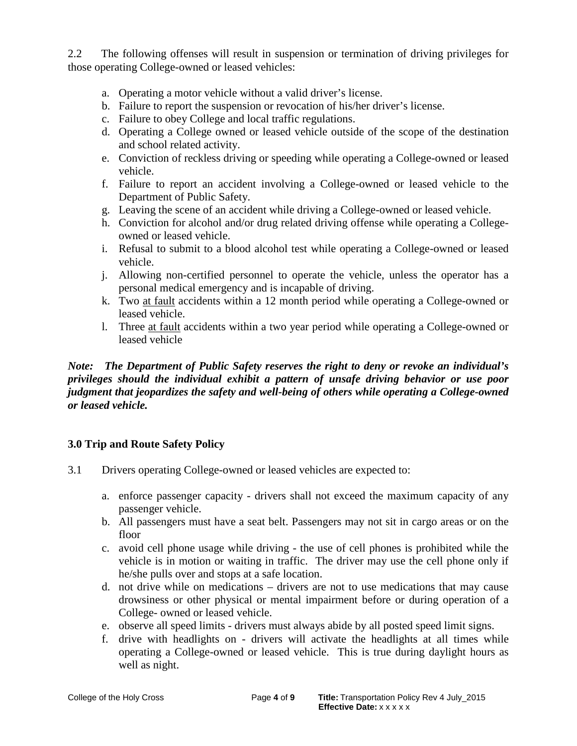2.2 The following offenses will result in suspension or termination of driving privileges for those operating College-owned or leased vehicles:

- a. Operating a motor vehicle without a valid driver's license.
- b. Failure to report the suspension or revocation of his/her driver's license.
- c. Failure to obey College and local traffic regulations.
- d. Operating a College owned or leased vehicle outside of the scope of the destination and school related activity.
- e. Conviction of reckless driving or speeding while operating a College-owned or leased vehicle.
- f. Failure to report an accident involving a College-owned or leased vehicle to the Department of Public Safety.
- g. Leaving the scene of an accident while driving a College-owned or leased vehicle.
- h. Conviction for alcohol and/or drug related driving offense while operating a Collegeowned or leased vehicle.
- i. Refusal to submit to a blood alcohol test while operating a College-owned or leased vehicle.
- j. Allowing non-certified personnel to operate the vehicle, unless the operator has a personal medical emergency and is incapable of driving.
- k. Two at fault accidents within a 12 month period while operating a College-owned or leased vehicle.
- l. Three at fault accidents within a two year period while operating a College-owned or leased vehicle

### *Note: The Department of Public Safety reserves the right to deny or revoke an individual's privileges should the individual exhibit a pattern of unsafe driving behavior or use poor judgment that jeopardizes the safety and well-being of others while operating a College-owned or leased vehicle.*

## **3.0 Trip and Route Safety Policy**

- 3.1 Drivers operating College-owned or leased vehicles are expected to:
	- a. enforce passenger capacity *-* drivers shall not exceed the maximum capacity of any passenger vehicle.
	- b. All passengers must have a seat belt. Passengers may not sit in cargo areas or on the floor
	- c. avoid cell phone usage while driving the use of cell phones is prohibited while the vehicle is in motion or waiting in traffic. The driver may use the cell phone only if he/she pulls over and stops at a safe location.
	- d. not drive while on medications *–* drivers are not to use medications that may cause drowsiness or other physical or mental impairment before or during operation of a College- owned or leased vehicle.
	- e. observe all speed limits drivers must always abide by all posted speed limit signs.
	- f. drive with headlights on drivers will activate the headlights at all times while operating a College-owned or leased vehicle. This is true during daylight hours as well as night.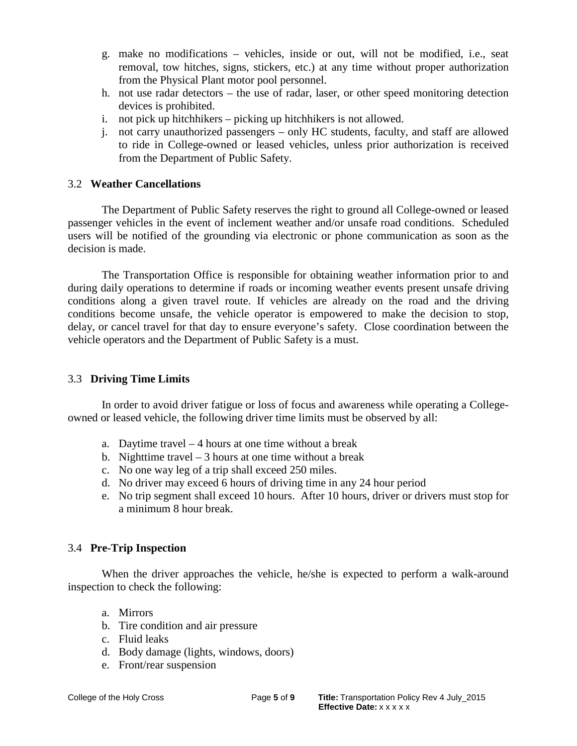- g. make no modifications vehicles, inside or out, will not be modified, i.e., seat removal, tow hitches, signs, stickers, etc.) at any time without proper authorization from the Physical Plant motor pool personnel.
- h. not use radar detectors the use of radar, laser, or other speed monitoring detection devices is prohibited.
- i. not pick up hitchhikers picking up hitchhikers is not allowed.
- j. not carry unauthorized passengers only HC students, faculty, and staff are allowed to ride in College-owned or leased vehicles, unless prior authorization is received from the Department of Public Safety.

### 3.2 **Weather Cancellations**

The Department of Public Safety reserves the right to ground all College-owned or leased passenger vehicles in the event of inclement weather and/or unsafe road conditions. Scheduled users will be notified of the grounding via electronic or phone communication as soon as the decision is made.

The Transportation Office is responsible for obtaining weather information prior to and during daily operations to determine if roads or incoming weather events present unsafe driving conditions along a given travel route. If vehicles are already on the road and the driving conditions become unsafe, the vehicle operator is empowered to make the decision to stop, delay, or cancel travel for that day to ensure everyone's safety. Close coordination between the vehicle operators and the Department of Public Safety is a must.

### 3.3 **Driving Time Limits**

In order to avoid driver fatigue or loss of focus and awareness while operating a Collegeowned or leased vehicle, the following driver time limits must be observed by all:

- a. Daytime travel 4 hours at one time without a break
- b. Nighttime travel  $-3$  hours at one time without a break
- c. No one way leg of a trip shall exceed 250 miles.
- d. No driver may exceed 6 hours of driving time in any 24 hour period
- e. No trip segment shall exceed 10 hours. After 10 hours, driver or drivers must stop for a minimum 8 hour break.

#### 3.4 **Pre-Trip Inspection**

When the driver approaches the vehicle, he/she is expected to perform a walk-around inspection to check the following:

- a. Mirrors
- b. Tire condition and air pressure
- c. Fluid leaks
- d. Body damage (lights, windows, doors)
- e. Front/rear suspension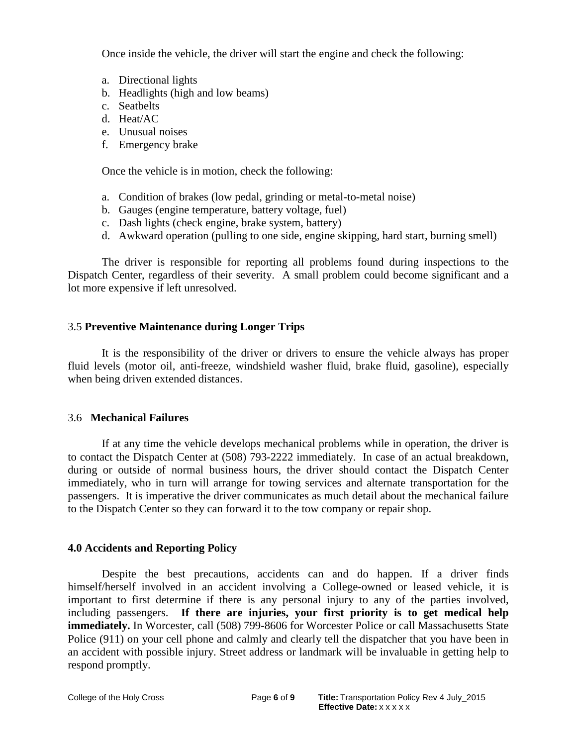Once inside the vehicle, the driver will start the engine and check the following:

- a. Directional lights
- b. Headlights (high and low beams)
- c. Seatbelts
- d. Heat/AC
- e. Unusual noises
- f. Emergency brake

Once the vehicle is in motion, check the following:

- a. Condition of brakes (low pedal, grinding or metal-to-metal noise)
- b. Gauges (engine temperature, battery voltage, fuel)
- c. Dash lights (check engine, brake system, battery)
- d. Awkward operation (pulling to one side, engine skipping, hard start, burning smell)

The driver is responsible for reporting all problems found during inspections to the Dispatch Center, regardless of their severity. A small problem could become significant and a lot more expensive if left unresolved.

#### 3.5 **Preventive Maintenance during Longer Trips**

It is the responsibility of the driver or drivers to ensure the vehicle always has proper fluid levels (motor oil, anti-freeze, windshield washer fluid, brake fluid, gasoline), especially when being driven extended distances.

#### 3.6 **Mechanical Failures**

If at any time the vehicle develops mechanical problems while in operation, the driver is to contact the Dispatch Center at (508) 793-2222 immediately. In case of an actual breakdown, during or outside of normal business hours, the driver should contact the Dispatch Center immediately, who in turn will arrange for towing services and alternate transportation for the passengers. It is imperative the driver communicates as much detail about the mechanical failure to the Dispatch Center so they can forward it to the tow company or repair shop.

#### **4.0 Accidents and Reporting Policy**

Despite the best precautions, accidents can and do happen. If a driver finds himself/herself involved in an accident involving a College-owned or leased vehicle, it is important to first determine if there is any personal injury to any of the parties involved, including passengers. **If there are injuries, your first priority is to get medical help immediately.** In Worcester, call (508) 799-8606 for Worcester Police or call Massachusetts State Police (911) on your cell phone and calmly and clearly tell the dispatcher that you have been in an accident with possible injury. Street address or landmark will be invaluable in getting help to respond promptly.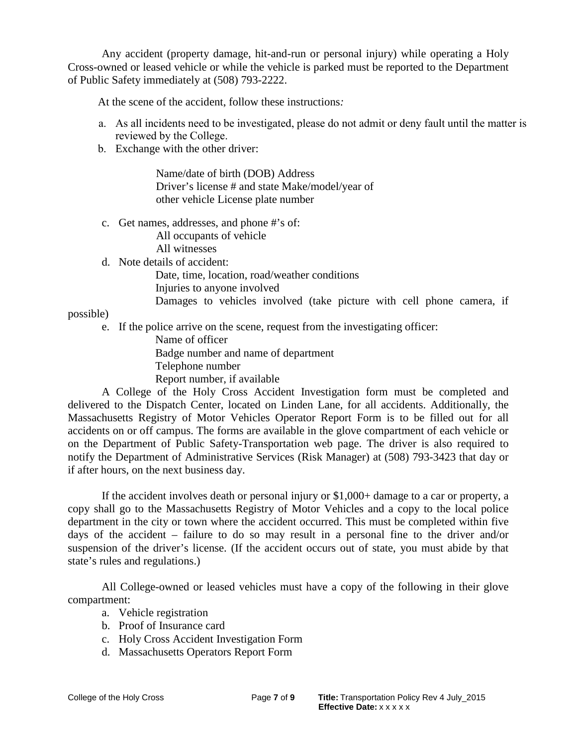Any accident (property damage, hit-and-run or personal injury) while operating a Holy Cross-owned or leased vehicle or while the vehicle is parked must be reported to the Department of Public Safety immediately at (508) 793-2222.

At the scene of the accident, follow these instructions*:* 

- a. As all incidents need to be investigated, please do not admit or deny fault until the matter is reviewed by the College.
- b. Exchange with the other driver:

Name/date of birth (DOB) Address Driver's license # and state Make/model/year of other vehicle License plate number

c. Get names, addresses, and phone #'s of: All occupants of vehicle

All witnesses

d. Note details of accident:

Date, time, location, road/weather conditions Injuries to anyone involved

Damages to vehicles involved (take picture with cell phone camera, if

possible)

e. If the police arrive on the scene, request from the investigating officer:

Name of officer Badge number and name of department

Telephone number

Report number, if available

A College of the Holy Cross Accident Investigation form must be completed and delivered to the Dispatch Center, located on Linden Lane, for all accidents. Additionally, the Massachusetts Registry of Motor Vehicles Operator Report Form is to be filled out for all accidents on or off campus. The forms are available in the glove compartment of each vehicle or on the Department of Public Safety-Transportation web page. The driver is also required to notify the Department of Administrative Services (Risk Manager) at (508) 793-3423 that day or if after hours, on the next business day.

If the accident involves death or personal injury or \$1,000+ damage to a car or property, a copy shall go to the Massachusetts Registry of Motor Vehicles and a copy to the local police department in the city or town where the accident occurred. This must be completed within five days of the accident – failure to do so may result in a personal fine to the driver and/or suspension of the driver's license. (If the accident occurs out of state, you must abide by that state's rules and regulations.)

All College-owned or leased vehicles must have a copy of the following in their glove compartment:

- a. Vehicle registration
- b. Proof of Insurance card
- c. Holy Cross Accident Investigation Form
- d. Massachusetts Operators Report Form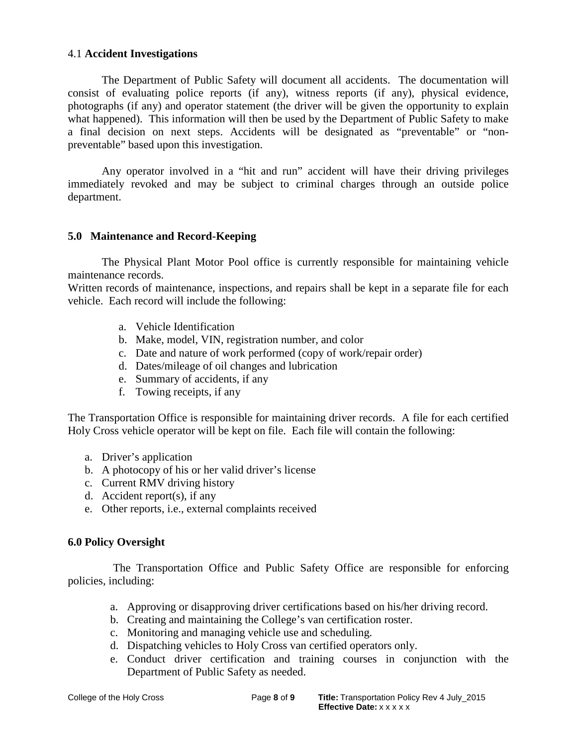#### 4.1 **Accident Investigations**

The Department of Public Safety will document all accidents. The documentation will consist of evaluating police reports (if any), witness reports (if any), physical evidence, photographs (if any) and operator statement (the driver will be given the opportunity to explain what happened). This information will then be used by the Department of Public Safety to make a final decision on next steps. Accidents will be designated as "preventable" or "nonpreventable" based upon this investigation.

Any operator involved in a "hit and run" accident will have their driving privileges immediately revoked and may be subject to criminal charges through an outside police department.

#### **5.0 Maintenance and Record-Keeping**

The Physical Plant Motor Pool office is currently responsible for maintaining vehicle maintenance records.

Written records of maintenance, inspections, and repairs shall be kept in a separate file for each vehicle. Each record will include the following:

- a. Vehicle Identification
- b. Make, model, VIN, registration number, and color
- c. Date and nature of work performed (copy of work/repair order)
- d. Dates/mileage of oil changes and lubrication
- e. Summary of accidents, if any
- f. Towing receipts, if any

The Transportation Office is responsible for maintaining driver records. A file for each certified Holy Cross vehicle operator will be kept on file. Each file will contain the following:

- a. Driver's application
- b. A photocopy of his or her valid driver's license
- c. Current RMV driving history
- d. Accident report(s), if any
- e. Other reports, i.e., external complaints received

#### **6.0 Policy Oversight**

The Transportation Office and Public Safety Office are responsible for enforcing policies, including:

- a. Approving or disapproving driver certifications based on his/her driving record.
- b. Creating and maintaining the College's van certification roster.
- c. Monitoring and managing vehicle use and scheduling.
- d. Dispatching vehicles to Holy Cross van certified operators only.
- e. Conduct driver certification and training courses in conjunction with the Department of Public Safety as needed.